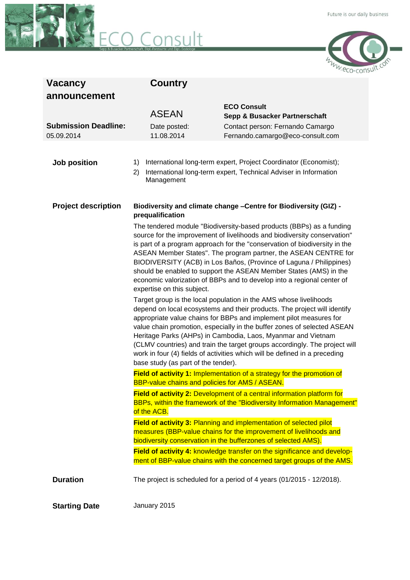



| <b>Vacancy</b><br>announcement | Country                                                                                                                                                                                                                                                                                                                                                                                                                                                                                                                                                                                                                                                                                                                                                                                                                                                                                                                                                                                                                                                                                                                                                                                                                                                                                                                                                                                                                                                                                                                                                                                                                                                                                                                                                                                                                                                                                     |                                                                       |
|--------------------------------|---------------------------------------------------------------------------------------------------------------------------------------------------------------------------------------------------------------------------------------------------------------------------------------------------------------------------------------------------------------------------------------------------------------------------------------------------------------------------------------------------------------------------------------------------------------------------------------------------------------------------------------------------------------------------------------------------------------------------------------------------------------------------------------------------------------------------------------------------------------------------------------------------------------------------------------------------------------------------------------------------------------------------------------------------------------------------------------------------------------------------------------------------------------------------------------------------------------------------------------------------------------------------------------------------------------------------------------------------------------------------------------------------------------------------------------------------------------------------------------------------------------------------------------------------------------------------------------------------------------------------------------------------------------------------------------------------------------------------------------------------------------------------------------------------------------------------------------------------------------------------------------------|-----------------------------------------------------------------------|
|                                | <b>ASEAN</b>                                                                                                                                                                                                                                                                                                                                                                                                                                                                                                                                                                                                                                                                                                                                                                                                                                                                                                                                                                                                                                                                                                                                                                                                                                                                                                                                                                                                                                                                                                                                                                                                                                                                                                                                                                                                                                                                                | <b>ECO Consult</b>                                                    |
| <b>Submission Deadline:</b>    | Date posted:                                                                                                                                                                                                                                                                                                                                                                                                                                                                                                                                                                                                                                                                                                                                                                                                                                                                                                                                                                                                                                                                                                                                                                                                                                                                                                                                                                                                                                                                                                                                                                                                                                                                                                                                                                                                                                                                                | Sepp & Busacker Partnerschaft<br>Contact person: Fernando Camargo     |
| 05.09.2014                     | 11.08.2014                                                                                                                                                                                                                                                                                                                                                                                                                                                                                                                                                                                                                                                                                                                                                                                                                                                                                                                                                                                                                                                                                                                                                                                                                                                                                                                                                                                                                                                                                                                                                                                                                                                                                                                                                                                                                                                                                  | Fernando.camargo@eco-consult.com                                      |
|                                |                                                                                                                                                                                                                                                                                                                                                                                                                                                                                                                                                                                                                                                                                                                                                                                                                                                                                                                                                                                                                                                                                                                                                                                                                                                                                                                                                                                                                                                                                                                                                                                                                                                                                                                                                                                                                                                                                             |                                                                       |
| Job position                   | International long-term expert, Project Coordinator (Economist);<br>1)                                                                                                                                                                                                                                                                                                                                                                                                                                                                                                                                                                                                                                                                                                                                                                                                                                                                                                                                                                                                                                                                                                                                                                                                                                                                                                                                                                                                                                                                                                                                                                                                                                                                                                                                                                                                                      |                                                                       |
|                                | 2)<br>Management                                                                                                                                                                                                                                                                                                                                                                                                                                                                                                                                                                                                                                                                                                                                                                                                                                                                                                                                                                                                                                                                                                                                                                                                                                                                                                                                                                                                                                                                                                                                                                                                                                                                                                                                                                                                                                                                            | International long-term expert, Technical Adviser in Information      |
| <b>Project description</b>     | Biodiversity and climate change -Centre for Biodiversity (GIZ) -<br>prequalification<br>The tendered module "Biodiversity-based products (BBPs) as a funding<br>source for the improvement of livelihoods and biodiversity conservation"<br>is part of a program approach for the "conservation of biodiversity in the<br>ASEAN Member States". The program partner, the ASEAN CENTRE for<br>BIODIVERSITY (ACB) in Los Baños, (Province of Laguna / Philippines)<br>should be enabled to support the ASEAN Member States (AMS) in the<br>economic valorization of BBPs and to develop into a regional center of<br>expertise on this subject.<br>Target group is the local population in the AMS whose livelihoods<br>depend on local ecosystems and their products. The project will identify<br>appropriate value chains for BBPs and implement pilot measures for<br>value chain promotion, especially in the buffer zones of selected ASEAN<br>Heritage Parks (AHPs) in Cambodia, Laos, Myanmar and Vietnam<br>(CLMV countries) and train the target groups accordingly. The project will<br>work in four (4) fields of activities which will be defined in a preceding<br>base study (as part of the tender).<br>Field of activity 1: Implementation of a strategy for the promotion of<br><b>BBP-value chains and policies for AMS / ASEAN.</b><br>Field of activity 2: Development of a central information platform for<br>BBPs, within the framework of the "Biodiversity Information Management"<br>of the ACB.<br>Field of activity 3: Planning and implementation of selected pilot<br>measures (BBP-value chains for the improvement of livelihoods and<br>biodiversity conservation in the bufferzones of selected AMS).<br>Field of activity 4: knowledge transfer on the significance and develop-<br>ment of BBP-value chains with the concerned target groups of the AMS. |                                                                       |
|                                |                                                                                                                                                                                                                                                                                                                                                                                                                                                                                                                                                                                                                                                                                                                                                                                                                                                                                                                                                                                                                                                                                                                                                                                                                                                                                                                                                                                                                                                                                                                                                                                                                                                                                                                                                                                                                                                                                             |                                                                       |
|                                |                                                                                                                                                                                                                                                                                                                                                                                                                                                                                                                                                                                                                                                                                                                                                                                                                                                                                                                                                                                                                                                                                                                                                                                                                                                                                                                                                                                                                                                                                                                                                                                                                                                                                                                                                                                                                                                                                             |                                                                       |
|                                |                                                                                                                                                                                                                                                                                                                                                                                                                                                                                                                                                                                                                                                                                                                                                                                                                                                                                                                                                                                                                                                                                                                                                                                                                                                                                                                                                                                                                                                                                                                                                                                                                                                                                                                                                                                                                                                                                             |                                                                       |
|                                |                                                                                                                                                                                                                                                                                                                                                                                                                                                                                                                                                                                                                                                                                                                                                                                                                                                                                                                                                                                                                                                                                                                                                                                                                                                                                                                                                                                                                                                                                                                                                                                                                                                                                                                                                                                                                                                                                             |                                                                       |
|                                |                                                                                                                                                                                                                                                                                                                                                                                                                                                                                                                                                                                                                                                                                                                                                                                                                                                                                                                                                                                                                                                                                                                                                                                                                                                                                                                                                                                                                                                                                                                                                                                                                                                                                                                                                                                                                                                                                             |                                                                       |
|                                |                                                                                                                                                                                                                                                                                                                                                                                                                                                                                                                                                                                                                                                                                                                                                                                                                                                                                                                                                                                                                                                                                                                                                                                                                                                                                                                                                                                                                                                                                                                                                                                                                                                                                                                                                                                                                                                                                             |                                                                       |
|                                |                                                                                                                                                                                                                                                                                                                                                                                                                                                                                                                                                                                                                                                                                                                                                                                                                                                                                                                                                                                                                                                                                                                                                                                                                                                                                                                                                                                                                                                                                                                                                                                                                                                                                                                                                                                                                                                                                             |                                                                       |
| <b>Duration</b>                |                                                                                                                                                                                                                                                                                                                                                                                                                                                                                                                                                                                                                                                                                                                                                                                                                                                                                                                                                                                                                                                                                                                                                                                                                                                                                                                                                                                                                                                                                                                                                                                                                                                                                                                                                                                                                                                                                             | The project is scheduled for a period of 4 years (01/2015 - 12/2018). |
| <b>Starting Date</b>           | January 2015                                                                                                                                                                                                                                                                                                                                                                                                                                                                                                                                                                                                                                                                                                                                                                                                                                                                                                                                                                                                                                                                                                                                                                                                                                                                                                                                                                                                                                                                                                                                                                                                                                                                                                                                                                                                                                                                                |                                                                       |